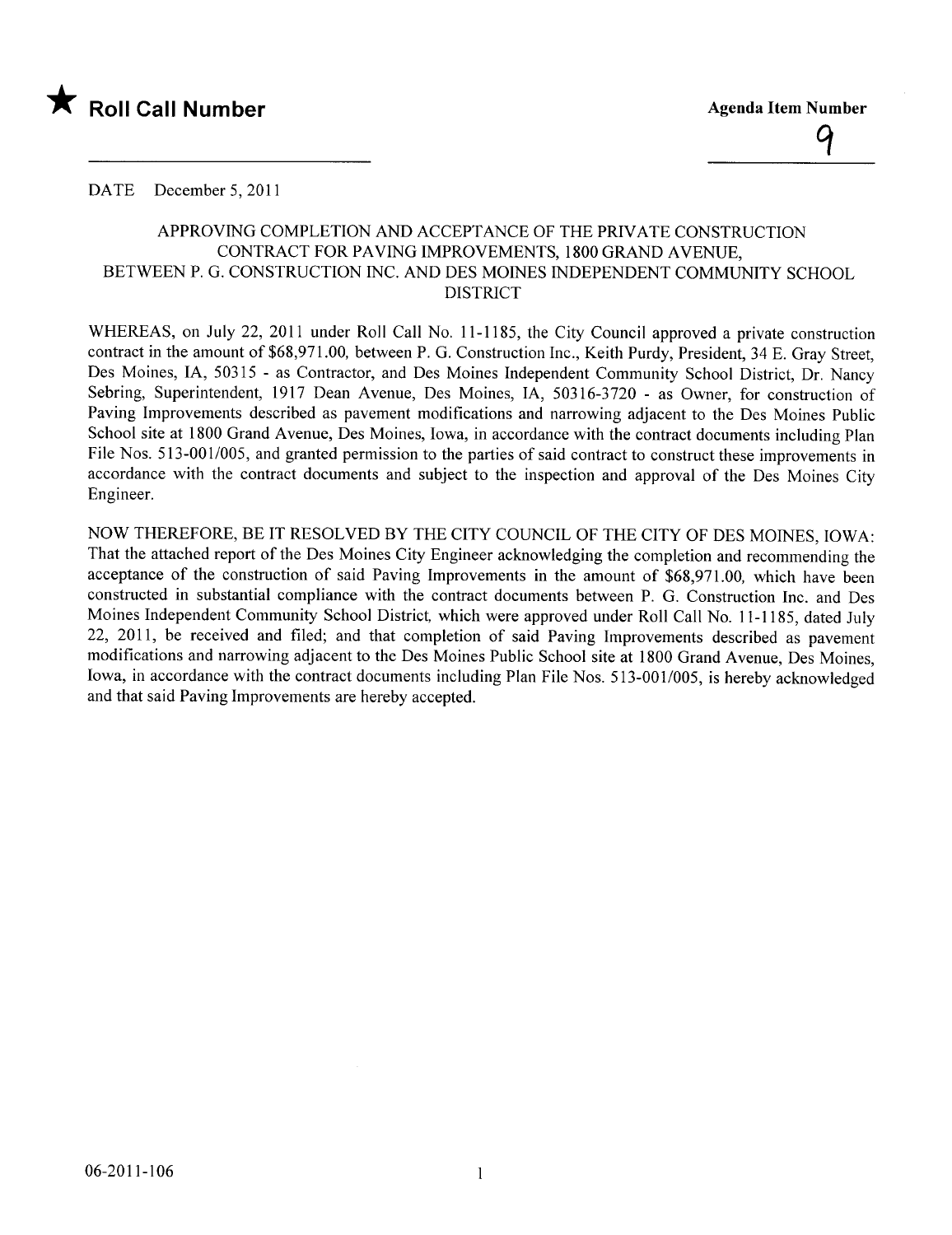

DATE December 5, 2011

### APPROVING COMPLETION AND ACCEPTANCE OF THE PRIVATE CONSTRUCTION CONTRACT FOR PAVING IMPROVEMENTS, 1800 GRAND AVENUE, BETWEEN P. G. CONSTRUCTION INC. AND DES MOINES INDEPENDENT COMMUNITY SCHOOL DISTRICT

WHEREAS, on July 22, 2011 under Roll Call No. 11-1185, the City Council approved a private construction contract in the amount of \$68,971.00, between P. G. Construction Inc., Keith Purdy, President, 34 E. Gray Street, Des Moines, lA, 50315 - as Contractor, and Des Moines Independent Community School District, Dr. Nancy Sebring, Superintendent, 1917 Dean Avenue, Des Moines, lA, 50316-3720 - as Owner, for construction of Paving Improvements described as pavement modifications and narrowing adjacent to the Des Moines Public School site at 1800 Grand Avenue, Des Moines, Iowa, in accordance with the contract documents including Plan File Nos. 513-001/005, and granted permission to the parties of said contract to construct these improvements in accordance with the contract documents and subject to the inspection and approval of the Des Moines City Engineer.

NOW THEREFORE, BE IT RESOLVED BY THE CITY COUNCIL OF THE CITY OF DES MOINES, IOWA: That the attached report of the Des Moines City Engineer acknowledging the completion and recommending the acceptance of the construction of said Paving Improvements in the amount of \$68,971.00, which have been constructed in substantial compliance with the contract documents between P. G. Construction Inc. and Des Moines Independent Community School District, which were approved under Roll Call No. 11-1185, dated July 22, 2011, be received and fied; and that completion of said Paving Improvements described as pavement modifications and narrowing adjacent to the Des Moines Public School site at 1800 Grand Avenue, Des Moines, Iowa, in accordance with the contract documents including Plan File Nos. 513-001/005, is hereby acknowledged and that said Paving Improvements are hereby accepted.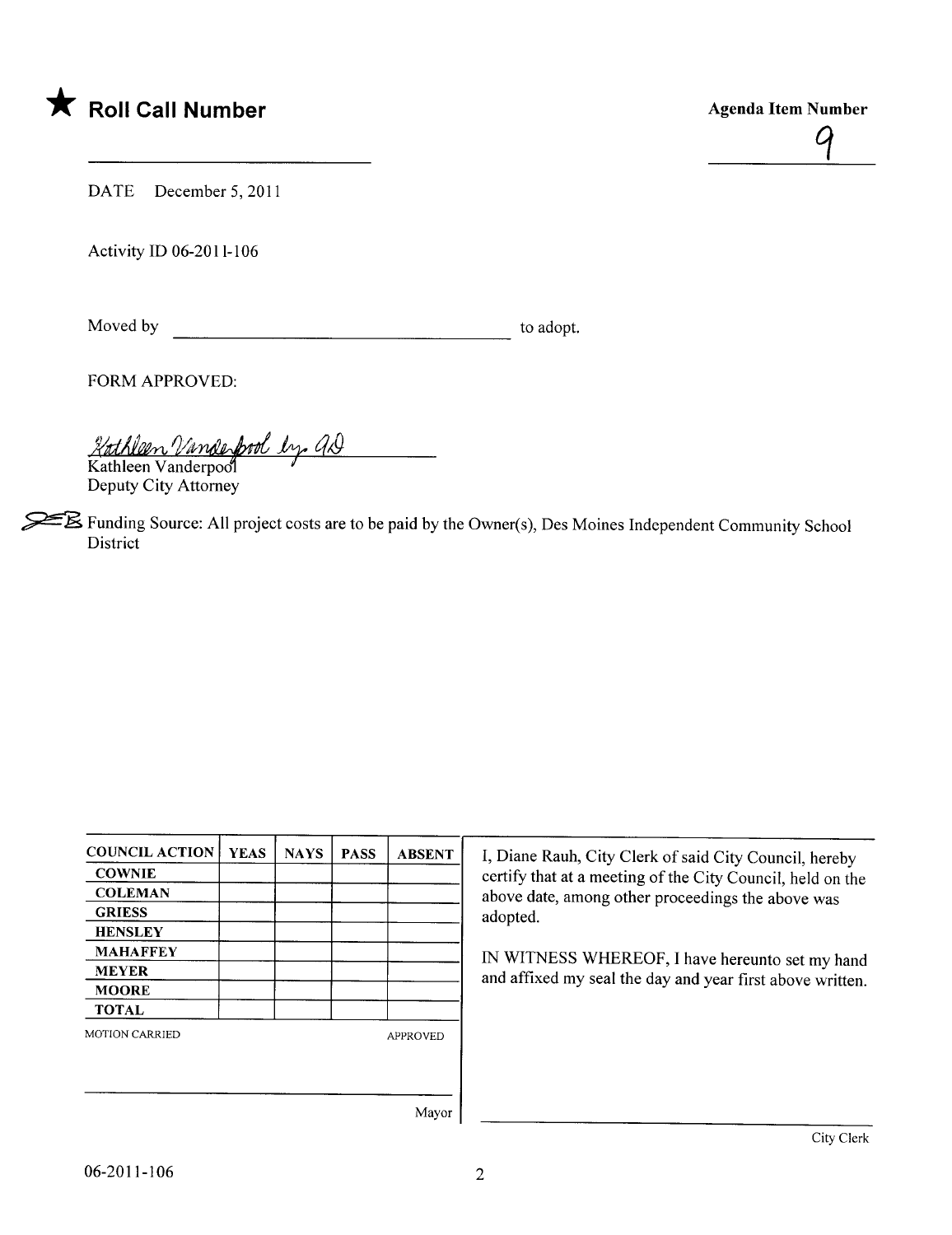# \* Roll Call Number Agenda Item Number



DATE December 5, 2011

Activity ID 06-2011-106

Moved by to adopt.

FORM APPROVED:

2/th help Vande pool by as

Deputy City Attorney

 $\mathbb{\mathbb{Z}}$  Funding Source: All project costs are to be paid by the Owner(s), Des Moines Independent Community School District

| <b>COUNCIL ACTION</b> | <b>YEAS</b> | <b>NAYS</b> | <b>PASS</b>     | <b>ABSENT</b> |  |
|-----------------------|-------------|-------------|-----------------|---------------|--|
| <b>COWNIE</b>         |             |             |                 |               |  |
| <b>COLEMAN</b>        |             |             |                 |               |  |
| <b>GRIESS</b>         |             |             |                 |               |  |
| <b>HENSLEY</b>        |             |             |                 |               |  |
| <b>MAHAFFEY</b>       |             |             |                 |               |  |
| <b>MEYER</b>          |             |             |                 |               |  |
| <b>MOORE</b>          |             |             |                 |               |  |
| <b>TOTAL</b>          |             |             |                 |               |  |
| <b>MOTION CARRIED</b> |             |             | <b>APPROVED</b> |               |  |
|                       |             |             |                 |               |  |
|                       |             |             |                 | Maxor         |  |

I, Diane Rauh, City Clerk of said City Council, hereby certify that at a meeting of the City Council, held on the above date, among other proceedings the above was adopted.

IN WITNESS WHEREOF, I have hereunto set my hand and affixed my seal the day and year first above written.

Mayor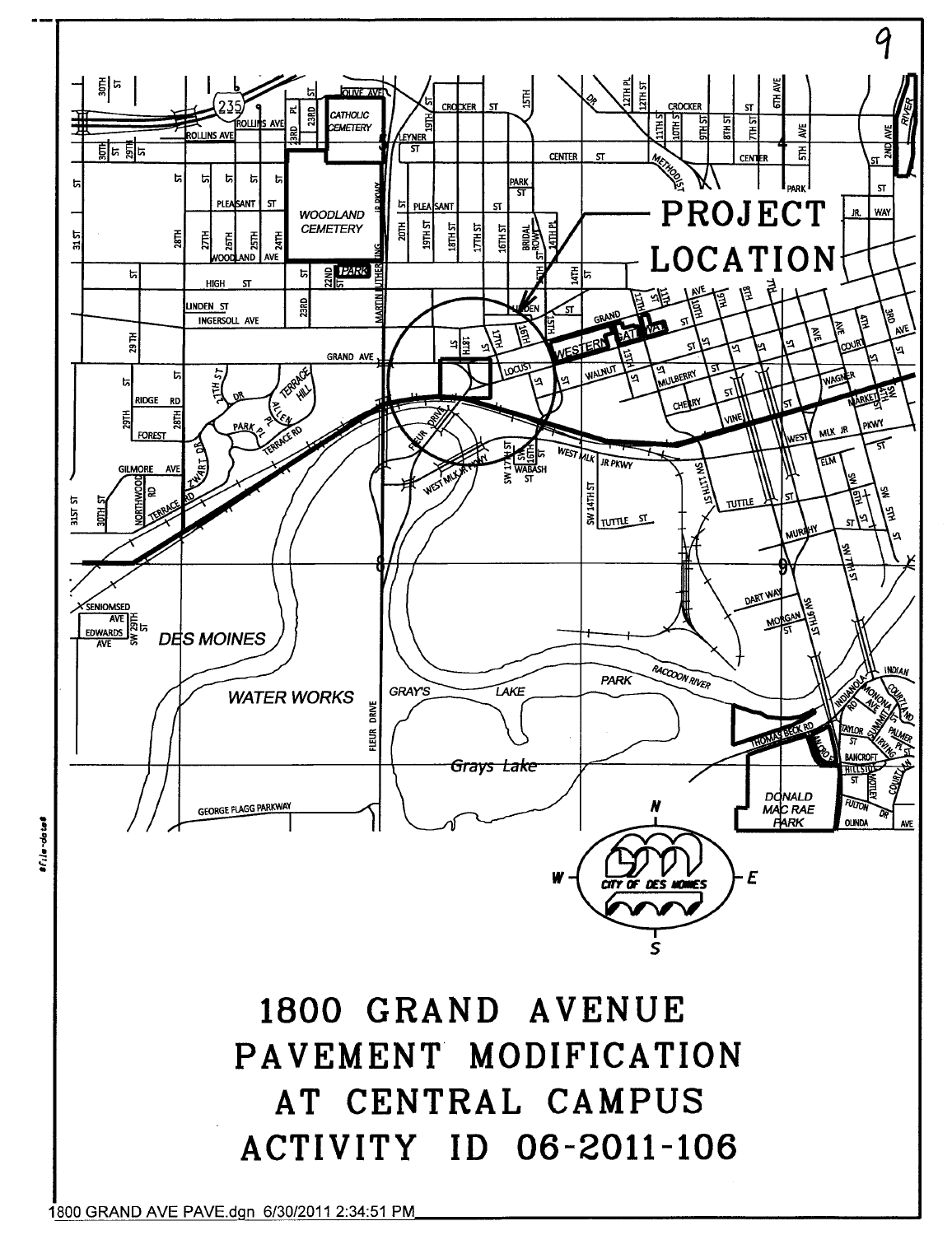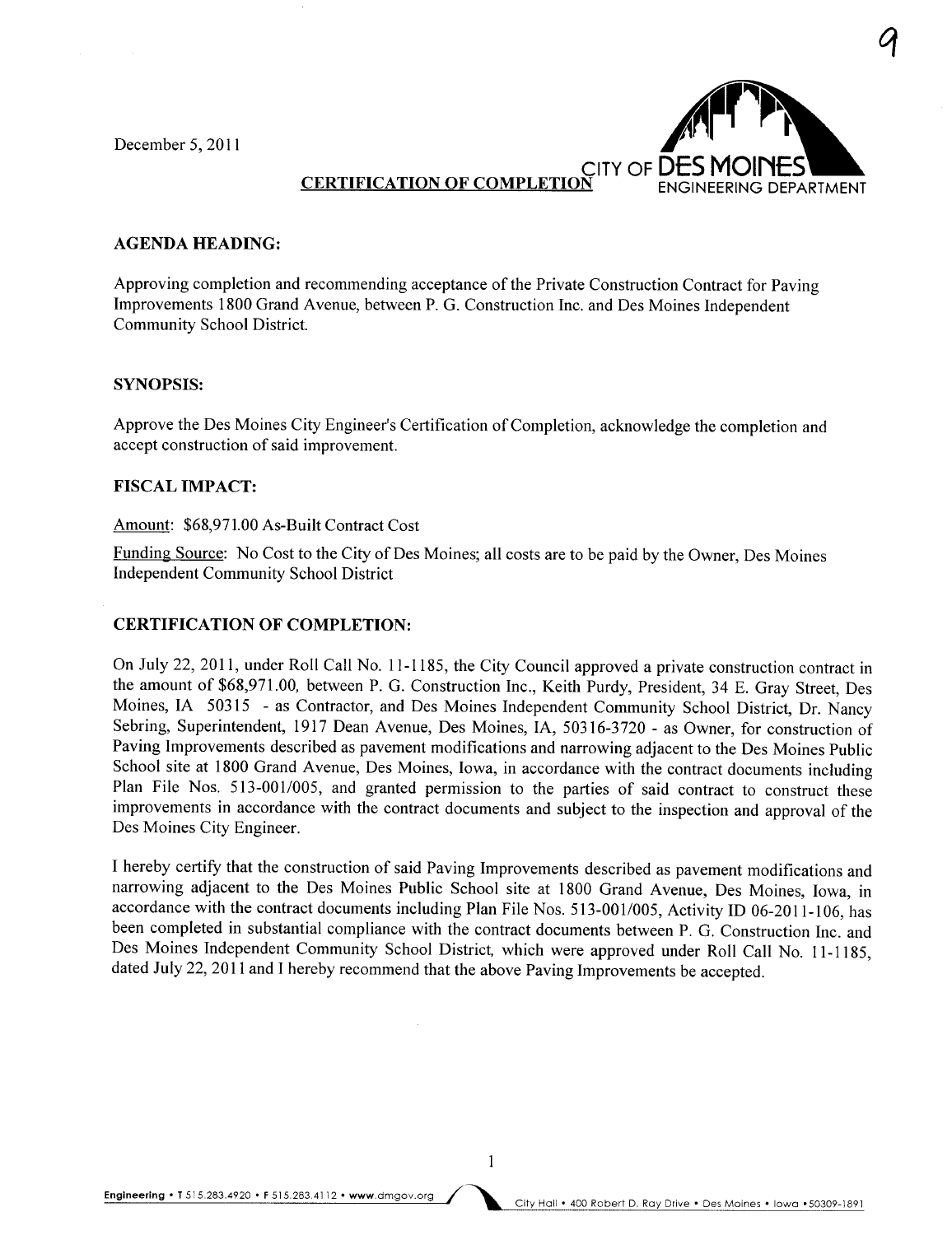December 5, 2011



q

#### **CERTIFICATION OF COMPLET**

#### AGENDA HEADING:

Approving completion and recommending acceptance of the Private Construction Contract for Paving Improvements 1800 Grand Avenue, between P. G. Construction Inc. and Des Moines Independent Community School District.

#### SYNOPSIS:

Approve the Des Moines City Engineer's Certification of Completion, acknowledge the completion and accept construction of said improvement.

#### **FISCAL IMPACT:**

#### Amount: \$68,971.00 As-Built Contract Cost

Funding Source: No Cost to the City of Des Moines; all costs are to be paid by the Owner, Des Moines Independent Community School District

#### CERTIFICATION OF COMPLETION:

On July 22,2011, under Roll Call No. 11-1185, the City Council approved a private construction contract in the amount of \$68,971.00, between P. G. Construction Inc., Keith Purdy, President, 34 E. Gray Street, Des Moines, IA 50315 - as Contractor, and Des Moines Independent Community School District, Dr. Nancy Sebring, Superintendent, 1917 Dean Avenue, Des Moines, lA, 50316-3720 - as Owner, for construction of Paving Improvements described as pavement modifications and narrowing adjacent to the Des Moines Public School site at 1800 Grand Avenue, Des Moines, Iowa, in accordance with the contract documents including Plan File Nos. 513-001/005, and granted permission to the parties of said contract to construct these improvements in accordance with the contract documents and subject to the inspection and approval of the Des Moines City Engineer.

I hereby certify that the construction of said Paving Improvements described as pavement modifications and narrowing adjacent to the Des Moines Public School site at 1800 Grand Avenue, Des Moines, Iowa, in accordance with the contract documents including Plan File Nos. 513-001/005, Activity ID 06-201l-106, has been completed in substantial compliance with the contract documents between P. G. Construction Inc. and Des Moines Independent Community School District, which were approved under Roll Call No. 11-1185, dated July 22,2011 and I hereby recommend that the above Paving Improvements be accepted.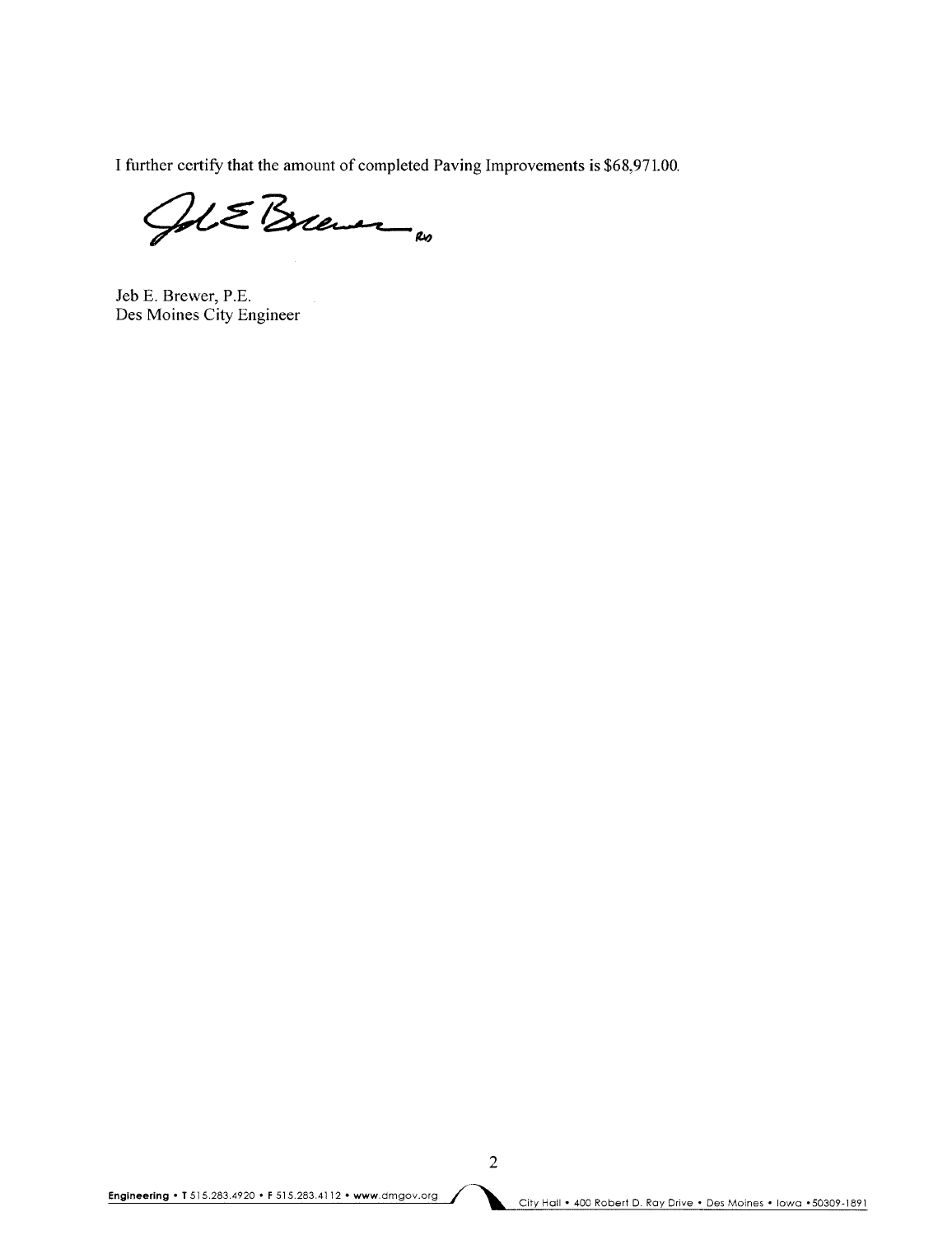I further certify that the amount of completed Paving Improvements is \$68,971.00.

Jol E Brewer

Jeb E. Brewer, P.E. Des Moines City Engineer